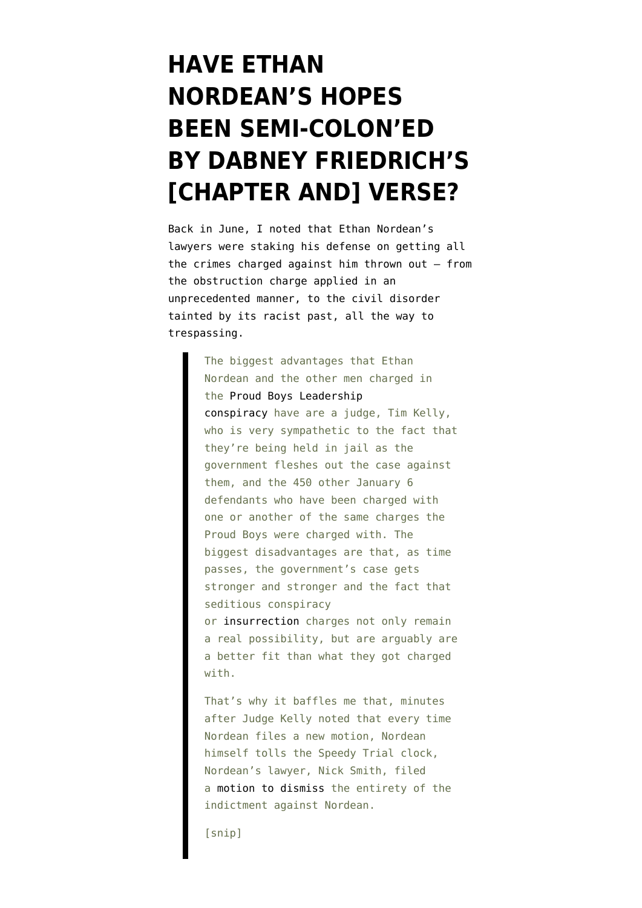## **[HAVE ETHAN](https://www.emptywheel.net/2021/12/13/have-ethan-nordeans-hopes-been-semi-coloned-by-dabney-friedrichs-chapter-and-verse/) [NORDEAN'S HOPES](https://www.emptywheel.net/2021/12/13/have-ethan-nordeans-hopes-been-semi-coloned-by-dabney-friedrichs-chapter-and-verse/) [BEEN SEMI-COLON'ED](https://www.emptywheel.net/2021/12/13/have-ethan-nordeans-hopes-been-semi-coloned-by-dabney-friedrichs-chapter-and-verse/) [BY DABNEY FRIEDRICH'S](https://www.emptywheel.net/2021/12/13/have-ethan-nordeans-hopes-been-semi-coloned-by-dabney-friedrichs-chapter-and-verse/) [\[CHAPTER AND\] VERSE?](https://www.emptywheel.net/2021/12/13/have-ethan-nordeans-hopes-been-semi-coloned-by-dabney-friedrichs-chapter-and-verse/)**

Back in June, I [noted](https://www.emptywheel.net/2021/06/04/accused-terrorist-leader-ethan-nordean-complains-he-got-charged-with-trespassing/) that Ethan Nordean's lawyers were staking his defense on getting all the crimes charged against him thrown out — from the obstruction charge applied in an unprecedented manner, to the civil disorder tainted by its racist past, all the way to trespassing.

> The biggest advantages that Ethan Nordean and the other men charged in the [Proud Boys Leadership](https://www.justice.gov/usao-dc/case-multi-defendant/file/1377586/download) [conspiracy](https://www.justice.gov/usao-dc/case-multi-defendant/file/1377586/download) have are a judge, Tim Kelly, who is very sympathetic to the fact that they're being held in jail as the government fleshes out the case against them, and the 450 other January 6 defendants who have been charged with one or another of the same charges the Proud Boys were charged with. The biggest disadvantages are that, as time passes, the government's case gets stronger and stronger and the fact that seditious conspiracy or [insurrection](https://www.lawfareblog.com/justice-department-shouldnt-open-pandoras-box-seditious-conspiracy) charges not only remain a real possibility, but are arguably are a better fit than what they got charged with.

That's why it baffles me that, minutes after Judge Kelly noted that every time Nordean files a new motion, Nordean himself tolls the Speedy Trial clock, Nordean's lawyer, Nick Smith, filed a [motion to dismiss](https://storage.courtlistener.com/recap/gov.uscourts.dcd.228300/gov.uscourts.dcd.228300.94.0.pdf) the entirety of the indictment against Nordean.

[snip]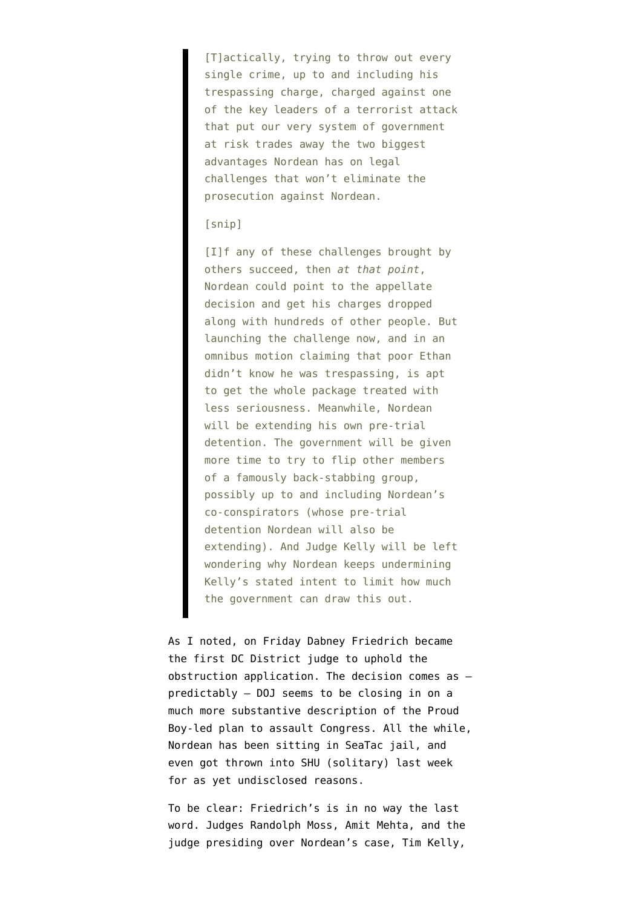[T]actically, trying to throw out every single crime, up to and including his trespassing charge, charged against one of the key leaders of a terrorist attack that put our very system of government at risk trades away the two biggest advantages Nordean has on legal challenges that won't eliminate the prosecution against Nordean.

## [snip]

[I]f any of these challenges brought by others succeed, then *at that point*, Nordean could point to the appellate decision and get his charges dropped along with hundreds of other people. But launching the challenge now, and in an omnibus motion claiming that poor Ethan didn't know he was trespassing, is apt to get the whole package treated with less seriousness. Meanwhile, Nordean will be extending his own pre-trial detention. The government will be given more time to try to flip other members of a famously back-stabbing group, possibly up to and including Nordean's co-conspirators (whose pre-trial detention Nordean will also be extending). And Judge Kelly will be left wondering why Nordean keeps undermining Kelly's stated intent to limit how much the government can draw this out.

As I [noted,](https://www.emptywheel.net/2021/12/11/dabney-friedrich-rejects-challenge-to-january-6-obstruction-application/) on Friday Dabney Friedrich became the first DC District judge to uphold the obstruction application. The decision comes as predictably — DOJ [seems to be closing in on](https://www.emptywheel.net/2021/12/08/a-taxonomy-of-the-visible-january-6-crime-scene-investigation/) a much more substantive description of [the Proud](https://www.emptywheel.net/2021/12/04/release-the-kraken-two-degrees-of-donald-trump-at-the-east-doors/) [Boy-led plan to assault Congress.](https://www.emptywheel.net/2021/12/04/release-the-kraken-two-degrees-of-donald-trump-at-the-east-doors/) All the while, Nordean has been sitting in [SeaTac jail,](https://www.bop.gov/locations/institutions/set/) and even [got thrown into SHU \(solitary\)](https://storage.courtlistener.com/recap/gov.uscourts.dcd.228300/gov.uscourts.dcd.228300.243.0_2.pdf) last week for as yet undisclosed reasons.

To be clear: Friedrich's is in no way the last word. Judges Randolph Moss, Amit Mehta, and the judge presiding over Nordean's case, Tim Kelly,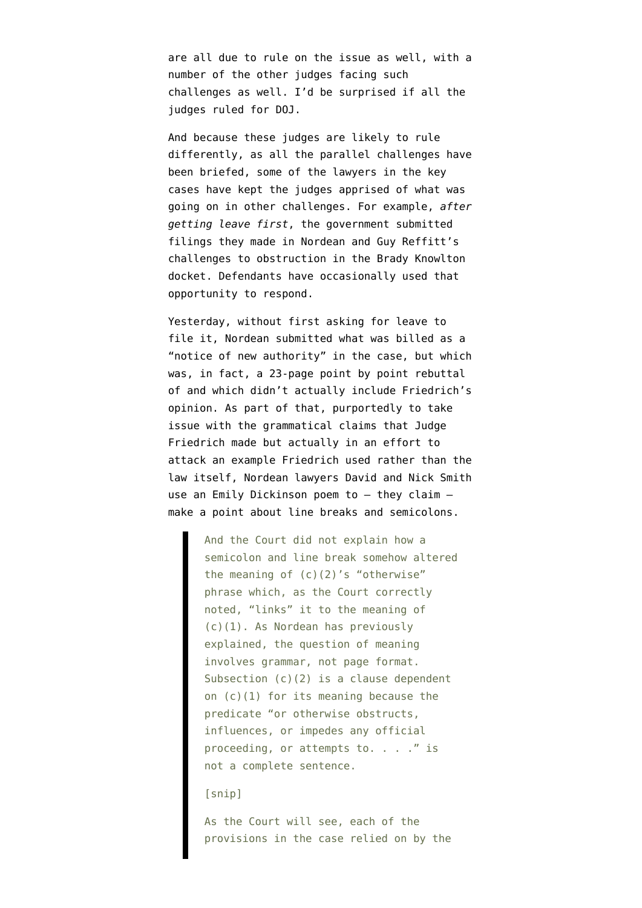are all due to rule on the issue as well, with a number of the other judges facing such challenges as well. I'd be surprised if all the judges ruled for DOJ.

And because these judges are likely to rule differently, as all the parallel challenges have been briefed, some of the lawyers in the key cases have kept the judges apprised of what was going on in other challenges. For example, *[after](https://www.documentcloud.org/documents/21153342-ddc_1_21-cr-00046-rdm_78_0) [getting leave first](https://www.documentcloud.org/documents/21153342-ddc_1_21-cr-00046-rdm_78_0)*, the government submitted filings they made in Nordean and Guy Reffitt's challenges to obstruction in the Brady Knowlton docket. Defendants have occasionally used that opportunity [to respond](https://storage.courtlistener.com/recap/gov.uscourts.dcd.226820/gov.uscourts.dcd.226820.83.0.pdf).

Yesterday, without first asking for leave to file it, Nordean [submitted](https://storage.courtlistener.com/recap/gov.uscourts.dcd.228300/gov.uscourts.dcd.228300.248.0.pdf) what was billed as a "notice of new authority" in the case, but which was, in fact, a 23-page point by point rebuttal of and which didn't actually include Friedrich's opinion. As part of that, purportedly to take issue with the grammatical claims that Judge Friedrich made but actually in an effort to attack an example Friedrich used rather than the law itself, Nordean lawyers David and Nick Smith use an Emily Dickinson poem to — they claim make a point about line breaks and semicolons.

> And the Court did not explain how a semicolon and line break somehow altered the meaning of  $(c)(2)'s$  "otherwise" phrase which, as the Court correctly noted, "links" it to the meaning of (c)(1). As Nordean has previously explained, the question of meaning involves grammar, not page format. Subsection (c)(2) is a clause dependent on (c)(1) for its meaning because the predicate "or otherwise obstructs, influences, or impedes any official proceeding, or attempts to. . . . " is not a complete sentence.

[snip]

As the Court will see, each of the provisions in the case relied on by the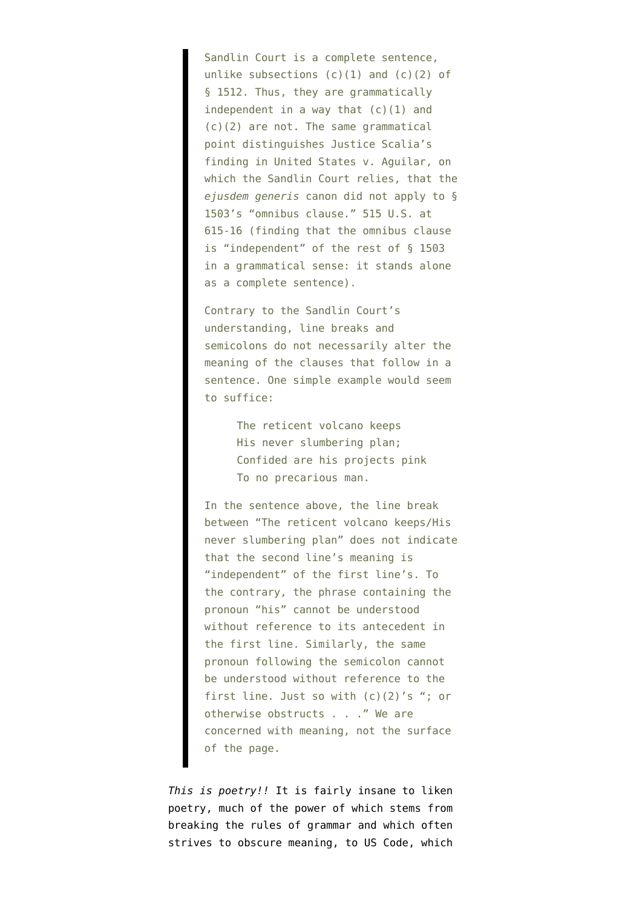Sandlin Court is a complete sentence, unlike subsections  $(c)(1)$  and  $(c)(2)$  of § 1512. Thus, they are grammatically independent in a way that  $(c)(1)$  and (c)(2) are not. The same grammatical point distinguishes Justice Scalia's finding in United States v. Aguilar, on which the Sandlin Court relies, that the *ejusdem generis* canon did not apply to § 1503's "omnibus clause." 515 U.S. at 615-16 (finding that the omnibus clause is "independent" of the rest of § 1503 in a grammatical sense: it stands alone as a complete sentence).

Contrary to the Sandlin Court's understanding, line breaks and semicolons do not necessarily alter the meaning of the clauses that follow in a sentence. One simple example would seem to suffice:

> The reticent volcano keeps His never slumbering plan; Confided are his projects pink To no precarious man.

In the sentence above, the line break between "The reticent volcano keeps/His never slumbering plan" does not indicate that the second line's meaning is "independent" of the first line's. To the contrary, the phrase containing the pronoun "his" cannot be understood without reference to its antecedent in the first line. Similarly, the same pronoun following the semicolon cannot be understood without reference to the first line. Just so with (c)(2)'s "; or otherwise obstructs . . ." We are concerned with meaning, not the surface of the page.

*This is poetry!!* It is fairly insane to liken poetry, much of the power of which stems from breaking the rules of grammar and which often strives to obscure meaning, to US Code, which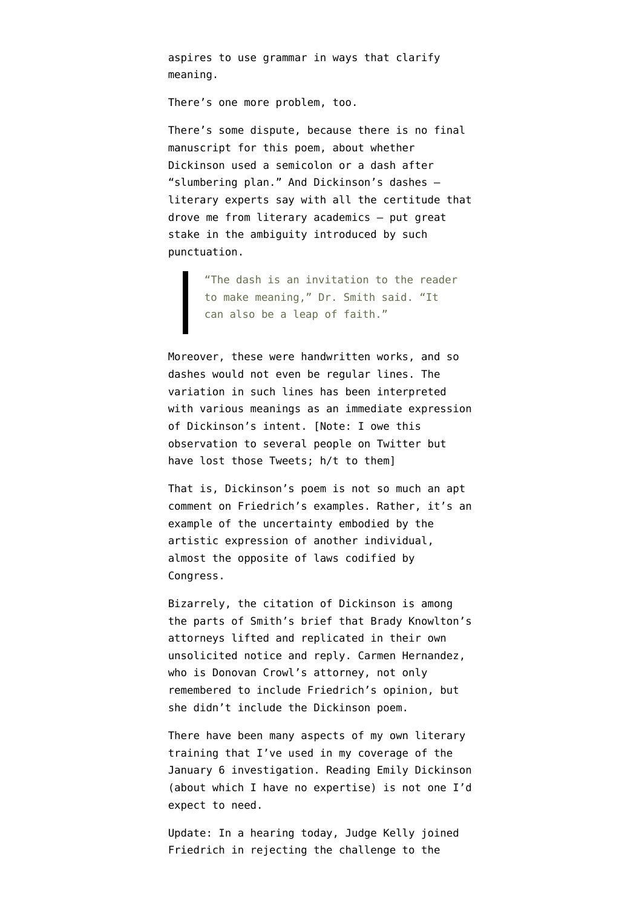aspires to use grammar in ways that clarify meaning.

There's one more problem, too.

There's some dispute, because there is no final manuscript for this poem, about whether Dickinson used a semicolon or a [dash](https://gwallter.com/books/emily-dickinsons-reticent-volcano.html) after "slumbering plan." And Dickinson's dashes literary experts say with all the certitude that drove me from literary academics — put [great](https://www.nytimes.com/2019/08/14/style/em-dash-punctuation.html) [stake](https://www.nytimes.com/2019/08/14/style/em-dash-punctuation.html) in the ambiguity introduced by such punctuation.

"The dash is an invitation to the reader to make meaning," Dr. Smith said. "It can also be a leap of faith."

Moreover, these were handwritten works, and so [dashes would not even be regular lines.](https://www.jstor.org/stable/27747139) The variation in such lines has been [interpreted](https://dickinsondashproject.weebly.com/dashes-in-poetry.html) with various meanings as an immediate expression of Dickinson's intent. [Note: I owe this observation to several people on Twitter but have lost those Tweets; h/t to them]

That is, Dickinson's poem is not so much an apt comment on Friedrich's examples. Rather, it's an example of the uncertainty embodied by the artistic expression of another individual, almost the opposite of laws codified by Congress.

Bizarrely, the citation of Dickinson is among the parts of Smith's brief that Brady Knowlton's attorneys [lifted and replicated](https://storage.courtlistener.com/recap/gov.uscourts.dcd.226820/gov.uscourts.dcd.226820.85.0.pdf) in their own unsolicited notice and reply. Carmen Hernandez, who is Donovan Crowl's attorney, not only remembered to include Friedrich's opinion, but she [didn't include](https://storage.courtlistener.com/recap/gov.uscourts.dcd.226727/gov.uscourts.dcd.226727.541.0.pdf) the Dickinson poem.

There have been many aspects of my own literary training that I've used in my coverage of the January 6 investigation. Reading Emily Dickinson (about which I have no expertise) is not one I'd expect to need.

Update: In a hearing today, Judge Kelly joined Friedrich in rejecting the challenge to the